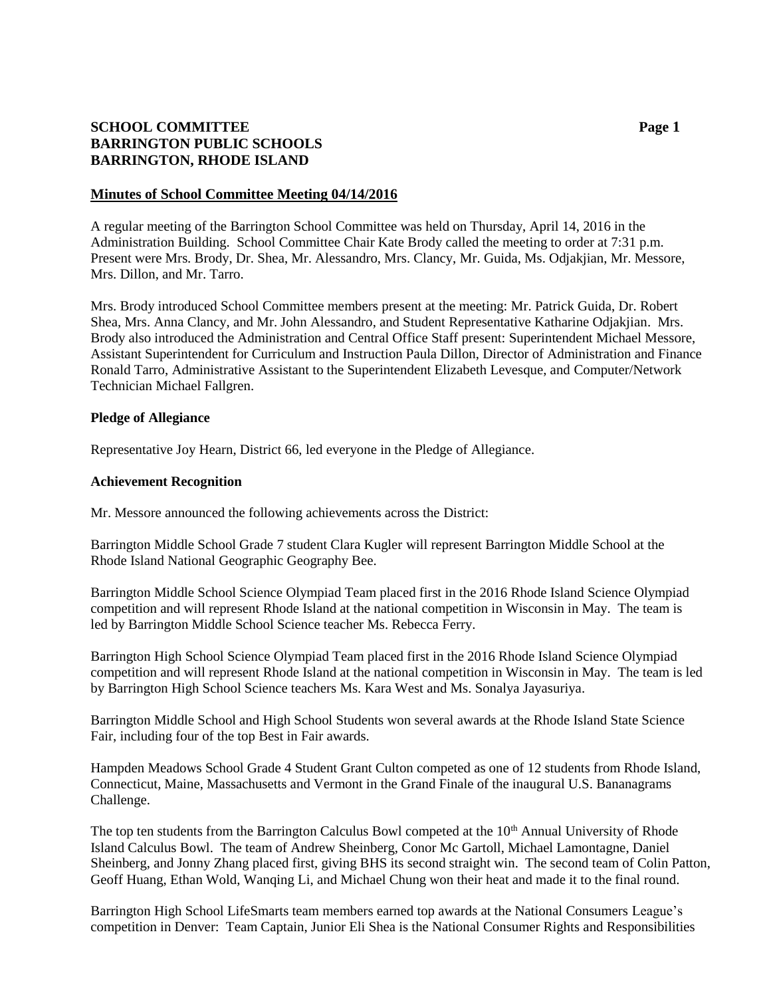# **SCHOOL COMMITTEE Page 1 BARRINGTON PUBLIC SCHOOLS BARRINGTON, RHODE ISLAND**

### **Minutes of School Committee Meeting 04/14/2016**

A regular meeting of the Barrington School Committee was held on Thursday, April 14, 2016 in the Administration Building. School Committee Chair Kate Brody called the meeting to order at 7:31 p.m. Present were Mrs. Brody, Dr. Shea, Mr. Alessandro, Mrs. Clancy, Mr. Guida, Ms. Odjakjian, Mr. Messore, Mrs. Dillon, and Mr. Tarro.

Mrs. Brody introduced School Committee members present at the meeting: Mr. Patrick Guida, Dr. Robert Shea, Mrs. Anna Clancy, and Mr. John Alessandro, and Student Representative Katharine Odjakjian. Mrs. Brody also introduced the Administration and Central Office Staff present: Superintendent Michael Messore, Assistant Superintendent for Curriculum and Instruction Paula Dillon, Director of Administration and Finance Ronald Tarro, Administrative Assistant to the Superintendent Elizabeth Levesque, and Computer/Network Technician Michael Fallgren.

### **Pledge of Allegiance**

Representative Joy Hearn, District 66, led everyone in the Pledge of Allegiance.

### **Achievement Recognition**

Mr. Messore announced the following achievements across the District:

Barrington Middle School Grade 7 student Clara Kugler will represent Barrington Middle School at the Rhode Island National Geographic Geography Bee.

Barrington Middle School Science Olympiad Team placed first in the 2016 Rhode Island Science Olympiad competition and will represent Rhode Island at the national competition in Wisconsin in May. The team is led by Barrington Middle School Science teacher Ms. Rebecca Ferry.

Barrington High School Science Olympiad Team placed first in the 2016 Rhode Island Science Olympiad competition and will represent Rhode Island at the national competition in Wisconsin in May. The team is led by Barrington High School Science teachers Ms. Kara West and Ms. Sonalya Jayasuriya.

Barrington Middle School and High School Students won several awards at the Rhode Island State Science Fair, including four of the top Best in Fair awards.

Hampden Meadows School Grade 4 Student Grant Culton competed as one of 12 students from Rhode Island, Connecticut, Maine, Massachusetts and Vermont in the Grand Finale of the inaugural U.S. Bananagrams Challenge.

The top ten students from the Barrington Calculus Bowl competed at the 10<sup>th</sup> Annual University of Rhode Island Calculus Bowl. The team of Andrew Sheinberg, Conor Mc Gartoll, Michael Lamontagne, Daniel Sheinberg, and Jonny Zhang placed first, giving BHS its second straight win. The second team of Colin Patton, Geoff Huang, Ethan Wold, Wanqing Li, and Michael Chung won their heat and made it to the final round.

Barrington High School LifeSmarts team members earned top awards at the National Consumers League's competition in Denver: Team Captain, Junior Eli Shea is the National Consumer Rights and Responsibilities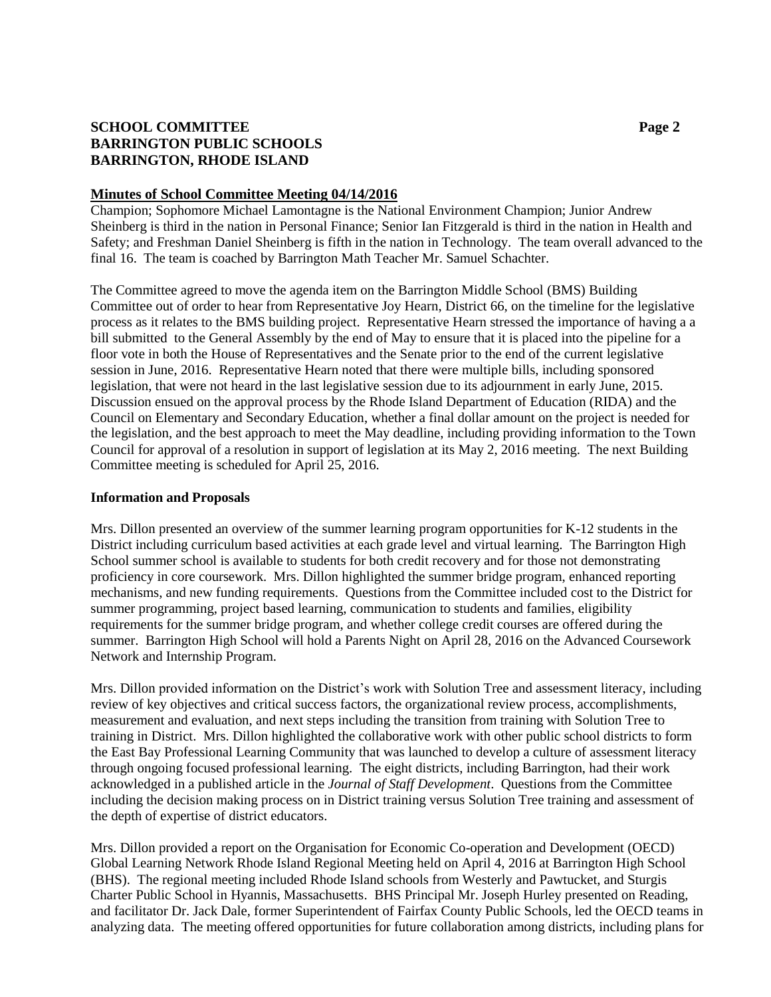# **SCHOOL COMMITTEE Page 2 BARRINGTON PUBLIC SCHOOLS BARRINGTON, RHODE ISLAND**

### **Minutes of School Committee Meeting 04/14/2016**

Champion; Sophomore Michael Lamontagne is the National Environment Champion; Junior Andrew Sheinberg is third in the nation in Personal Finance; Senior Ian Fitzgerald is third in the nation in Health and Safety; and Freshman Daniel Sheinberg is fifth in the nation in Technology. The team overall advanced to the final 16. The team is coached by Barrington Math Teacher Mr. Samuel Schachter.

The Committee agreed to move the agenda item on the Barrington Middle School (BMS) Building Committee out of order to hear from Representative Joy Hearn, District 66, on the timeline for the legislative process as it relates to the BMS building project. Representative Hearn stressed the importance of having a a bill submitted to the General Assembly by the end of May to ensure that it is placed into the pipeline for a floor vote in both the House of Representatives and the Senate prior to the end of the current legislative session in June, 2016. Representative Hearn noted that there were multiple bills, including sponsored legislation, that were not heard in the last legislative session due to its adjournment in early June, 2015. Discussion ensued on the approval process by the Rhode Island Department of Education (RIDA) and the Council on Elementary and Secondary Education, whether a final dollar amount on the project is needed for the legislation, and the best approach to meet the May deadline, including providing information to the Town Council for approval of a resolution in support of legislation at its May 2, 2016 meeting. The next Building Committee meeting is scheduled for April 25, 2016.

### **Information and Proposals**

Mrs. Dillon presented an overview of the summer learning program opportunities for K-12 students in the District including curriculum based activities at each grade level and virtual learning. The Barrington High School summer school is available to students for both credit recovery and for those not demonstrating proficiency in core coursework. Mrs. Dillon highlighted the summer bridge program, enhanced reporting mechanisms, and new funding requirements. Questions from the Committee included cost to the District for summer programming, project based learning, communication to students and families, eligibility requirements for the summer bridge program, and whether college credit courses are offered during the summer. Barrington High School will hold a Parents Night on April 28, 2016 on the Advanced Coursework Network and Internship Program.

Mrs. Dillon provided information on the District's work with Solution Tree and assessment literacy, including review of key objectives and critical success factors, the organizational review process, accomplishments, measurement and evaluation, and next steps including the transition from training with Solution Tree to training in District. Mrs. Dillon highlighted the collaborative work with other public school districts to form the East Bay Professional Learning Community that was launched to develop a culture of assessment literacy through ongoing focused professional learning. The eight districts, including Barrington, had their work acknowledged in a published article in the *Journal of Staff Development*. Questions from the Committee including the decision making process on in District training versus Solution Tree training and assessment of the depth of expertise of district educators.

Mrs. Dillon provided a report on the Organisation for Economic Co-operation and Development (OECD) Global Learning Network Rhode Island Regional Meeting held on April 4, 2016 at Barrington High School (BHS). The regional meeting included Rhode Island schools from Westerly and Pawtucket, and Sturgis Charter Public School in Hyannis, Massachusetts. BHS Principal Mr. Joseph Hurley presented on Reading, and facilitator Dr. Jack Dale, former Superintendent of Fairfax County Public Schools, led the OECD teams in analyzing data. The meeting offered opportunities for future collaboration among districts, including plans for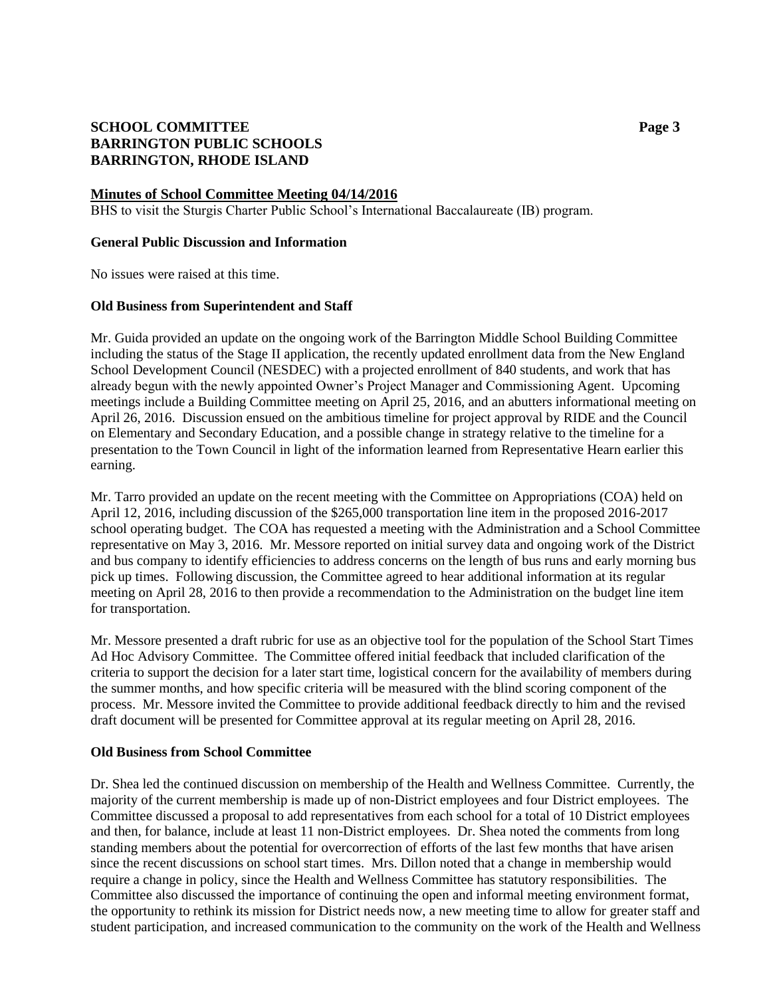# **SCHOOL COMMITTEE Page 3 BARRINGTON PUBLIC SCHOOLS BARRINGTON, RHODE ISLAND**

### **Minutes of School Committee Meeting 04/14/2016**

BHS to visit the Sturgis Charter Public School's International Baccalaureate (IB) program.

### **General Public Discussion and Information**

No issues were raised at this time.

### **Old Business from Superintendent and Staff**

Mr. Guida provided an update on the ongoing work of the Barrington Middle School Building Committee including the status of the Stage II application, the recently updated enrollment data from the New England School Development Council (NESDEC) with a projected enrollment of 840 students, and work that has already begun with the newly appointed Owner's Project Manager and Commissioning Agent. Upcoming meetings include a Building Committee meeting on April 25, 2016, and an abutters informational meeting on April 26, 2016. Discussion ensued on the ambitious timeline for project approval by RIDE and the Council on Elementary and Secondary Education, and a possible change in strategy relative to the timeline for a presentation to the Town Council in light of the information learned from Representative Hearn earlier this earning.

Mr. Tarro provided an update on the recent meeting with the Committee on Appropriations (COA) held on April 12, 2016, including discussion of the \$265,000 transportation line item in the proposed 2016-2017 school operating budget. The COA has requested a meeting with the Administration and a School Committee representative on May 3, 2016. Mr. Messore reported on initial survey data and ongoing work of the District and bus company to identify efficiencies to address concerns on the length of bus runs and early morning bus pick up times. Following discussion, the Committee agreed to hear additional information at its regular meeting on April 28, 2016 to then provide a recommendation to the Administration on the budget line item for transportation.

Mr. Messore presented a draft rubric for use as an objective tool for the population of the School Start Times Ad Hoc Advisory Committee. The Committee offered initial feedback that included clarification of the criteria to support the decision for a later start time, logistical concern for the availability of members during the summer months, and how specific criteria will be measured with the blind scoring component of the process. Mr. Messore invited the Committee to provide additional feedback directly to him and the revised draft document will be presented for Committee approval at its regular meeting on April 28, 2016.

#### **Old Business from School Committee**

Dr. Shea led the continued discussion on membership of the Health and Wellness Committee. Currently, the majority of the current membership is made up of non-District employees and four District employees. The Committee discussed a proposal to add representatives from each school for a total of 10 District employees and then, for balance, include at least 11 non-District employees. Dr. Shea noted the comments from long standing members about the potential for overcorrection of efforts of the last few months that have arisen since the recent discussions on school start times. Mrs. Dillon noted that a change in membership would require a change in policy, since the Health and Wellness Committee has statutory responsibilities. The Committee also discussed the importance of continuing the open and informal meeting environment format, the opportunity to rethink its mission for District needs now, a new meeting time to allow for greater staff and student participation, and increased communication to the community on the work of the Health and Wellness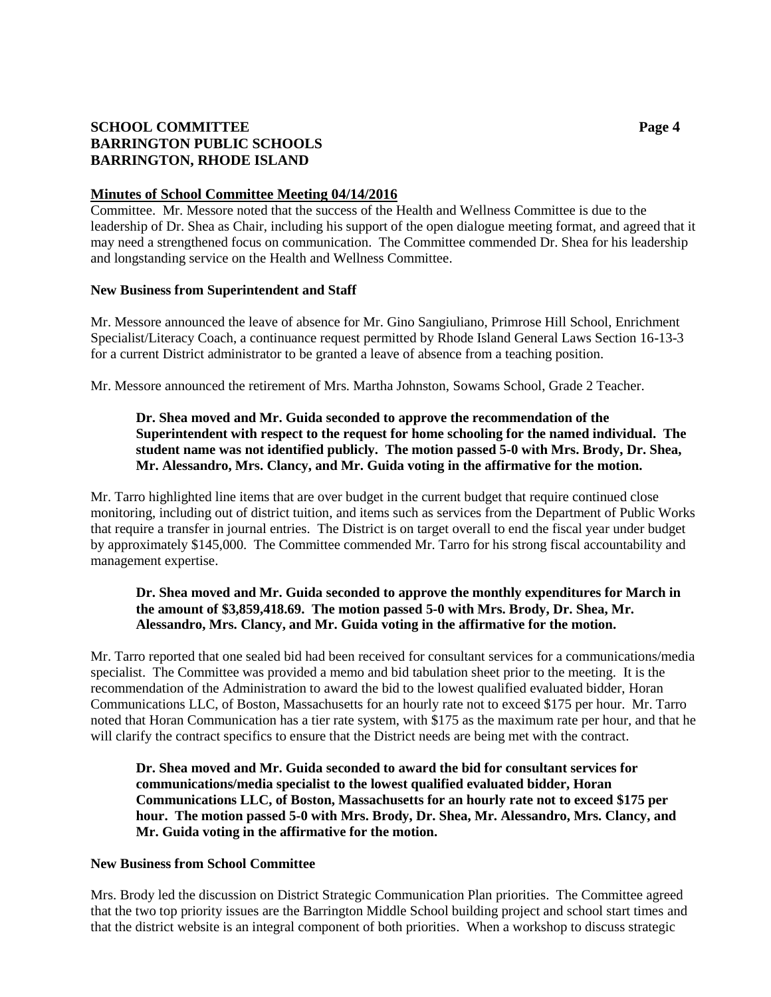# **SCHOOL COMMITTEE Page 4 BARRINGTON PUBLIC SCHOOLS BARRINGTON, RHODE ISLAND**

### **Minutes of School Committee Meeting 04/14/2016**

Committee. Mr. Messore noted that the success of the Health and Wellness Committee is due to the leadership of Dr. Shea as Chair, including his support of the open dialogue meeting format, and agreed that it may need a strengthened focus on communication. The Committee commended Dr. Shea for his leadership and longstanding service on the Health and Wellness Committee.

### **New Business from Superintendent and Staff**

Mr. Messore announced the leave of absence for Mr. Gino Sangiuliano, Primrose Hill School, Enrichment Specialist/Literacy Coach, a continuance request permitted by Rhode Island General Laws Section 16-13-3 for a current District administrator to be granted a leave of absence from a teaching position.

Mr. Messore announced the retirement of Mrs. Martha Johnston, Sowams School, Grade 2 Teacher.

## **Dr. Shea moved and Mr. Guida seconded to approve the recommendation of the Superintendent with respect to the request for home schooling for the named individual. The student name was not identified publicly. The motion passed 5-0 with Mrs. Brody, Dr. Shea, Mr. Alessandro, Mrs. Clancy, and Mr. Guida voting in the affirmative for the motion.**

Mr. Tarro highlighted line items that are over budget in the current budget that require continued close monitoring, including out of district tuition, and items such as services from the Department of Public Works that require a transfer in journal entries. The District is on target overall to end the fiscal year under budget by approximately \$145,000. The Committee commended Mr. Tarro for his strong fiscal accountability and management expertise.

# **Dr. Shea moved and Mr. Guida seconded to approve the monthly expenditures for March in the amount of \$3,859,418.69. The motion passed 5-0 with Mrs. Brody, Dr. Shea, Mr. Alessandro, Mrs. Clancy, and Mr. Guida voting in the affirmative for the motion.**

Mr. Tarro reported that one sealed bid had been received for consultant services for a communications/media specialist. The Committee was provided a memo and bid tabulation sheet prior to the meeting. It is the recommendation of the Administration to award the bid to the lowest qualified evaluated bidder, Horan Communications LLC, of Boston, Massachusetts for an hourly rate not to exceed \$175 per hour. Mr. Tarro noted that Horan Communication has a tier rate system, with \$175 as the maximum rate per hour, and that he will clarify the contract specifics to ensure that the District needs are being met with the contract.

**Dr. Shea moved and Mr. Guida seconded to award the bid for consultant services for communications/media specialist to the lowest qualified evaluated bidder, Horan Communications LLC, of Boston, Massachusetts for an hourly rate not to exceed \$175 per hour. The motion passed 5-0 with Mrs. Brody, Dr. Shea, Mr. Alessandro, Mrs. Clancy, and Mr. Guida voting in the affirmative for the motion.**

### **New Business from School Committee**

Mrs. Brody led the discussion on District Strategic Communication Plan priorities. The Committee agreed that the two top priority issues are the Barrington Middle School building project and school start times and that the district website is an integral component of both priorities. When a workshop to discuss strategic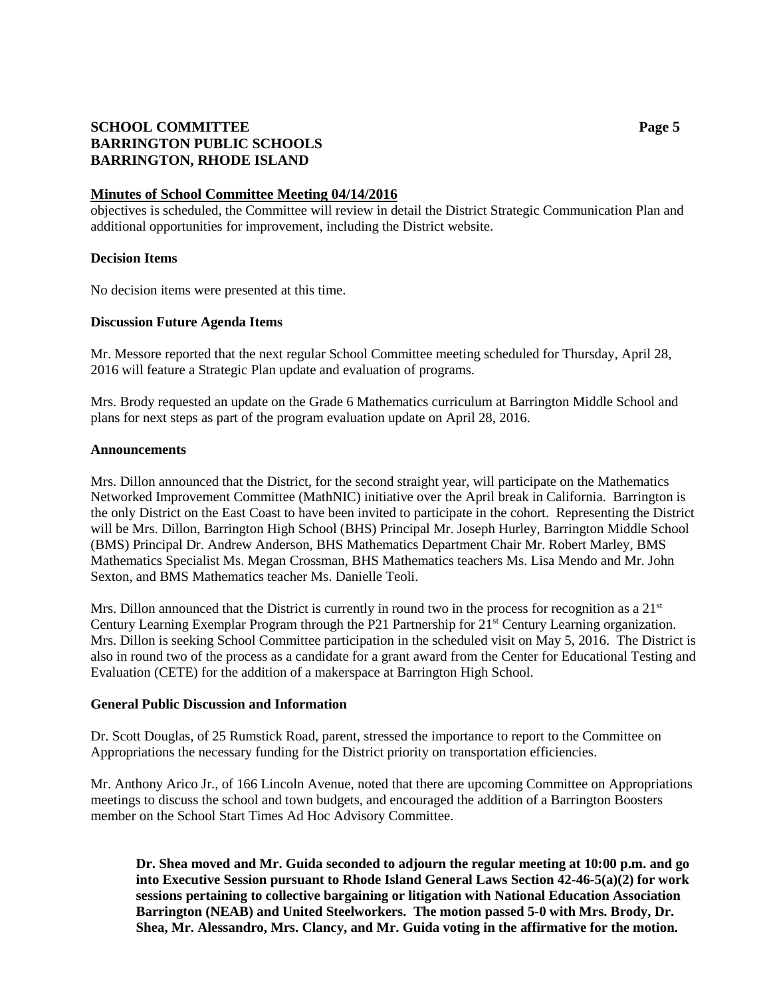# **SCHOOL COMMITTEE Page 5 BARRINGTON PUBLIC SCHOOLS BARRINGTON, RHODE ISLAND**

### **Minutes of School Committee Meeting 04/14/2016**

objectives is scheduled, the Committee will review in detail the District Strategic Communication Plan and additional opportunities for improvement, including the District website.

### **Decision Items**

No decision items were presented at this time.

### **Discussion Future Agenda Items**

Mr. Messore reported that the next regular School Committee meeting scheduled for Thursday, April 28, 2016 will feature a Strategic Plan update and evaluation of programs.

Mrs. Brody requested an update on the Grade 6 Mathematics curriculum at Barrington Middle School and plans for next steps as part of the program evaluation update on April 28, 2016.

#### **Announcements**

Mrs. Dillon announced that the District, for the second straight year, will participate on the Mathematics Networked Improvement Committee (MathNIC) initiative over the April break in California. Barrington is the only District on the East Coast to have been invited to participate in the cohort. Representing the District will be Mrs. Dillon, Barrington High School (BHS) Principal Mr. Joseph Hurley, Barrington Middle School (BMS) Principal Dr. Andrew Anderson, BHS Mathematics Department Chair Mr. Robert Marley, BMS Mathematics Specialist Ms. Megan Crossman, BHS Mathematics teachers Ms. Lisa Mendo and Mr. John Sexton, and BMS Mathematics teacher Ms. Danielle Teoli.

Mrs. Dillon announced that the District is currently in round two in the process for recognition as a  $21<sup>st</sup>$ Century Learning Exemplar Program through the P21 Partnership for  $21<sup>st</sup>$  Century Learning organization. Mrs. Dillon is seeking School Committee participation in the scheduled visit on May 5, 2016. The District is also in round two of the process as a candidate for a grant award from the Center for Educational Testing and Evaluation (CETE) for the addition of a makerspace at Barrington High School.

#### **General Public Discussion and Information**

Dr. Scott Douglas, of 25 Rumstick Road, parent, stressed the importance to report to the Committee on Appropriations the necessary funding for the District priority on transportation efficiencies.

Mr. Anthony Arico Jr., of 166 Lincoln Avenue, noted that there are upcoming Committee on Appropriations meetings to discuss the school and town budgets, and encouraged the addition of a Barrington Boosters member on the School Start Times Ad Hoc Advisory Committee.

**Dr. Shea moved and Mr. Guida seconded to adjourn the regular meeting at 10:00 p.m. and go into Executive Session pursuant to Rhode Island General Laws Section 42-46-5(a)(2) for work sessions pertaining to collective bargaining or litigation with National Education Association Barrington (NEAB) and United Steelworkers. The motion passed 5-0 with Mrs. Brody, Dr. Shea, Mr. Alessandro, Mrs. Clancy, and Mr. Guida voting in the affirmative for the motion.**